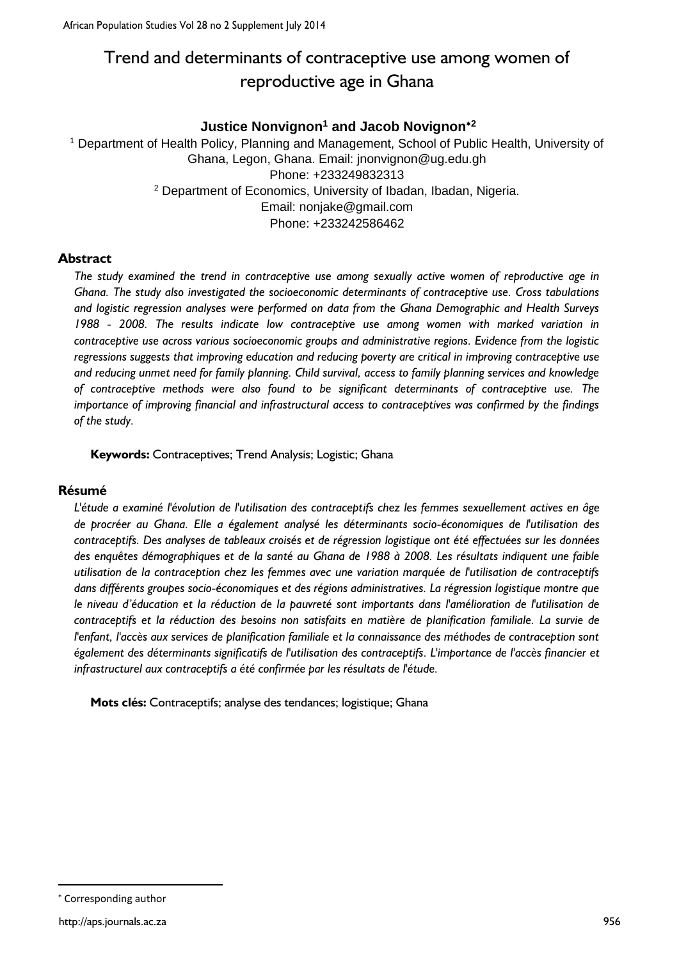# Trend and determinants of contraceptive use among women of reproductive age in Ghana

# **Justice Nonvignon<sup>1</sup> and Jacob Novignon<sup>2</sup>**

<sup>1</sup> Department of Health Policy, Planning and Management, School of Public Health, University of Ghana, Legon, Ghana. Email: jnonvignon@ug.edu.gh Phone: +233249832313 <sup>2</sup> Department of Economics, University of Ibadan, Ibadan, Nigeria. Email: nonjake@gmail.com Phone: +233242586462

## **Abstract**

*The study examined the trend in contraceptive use among sexually active women of reproductive age in Ghana. The study also investigated the socioeconomic determinants of contraceptive use. Cross tabulations and logistic regression analyses were performed on data from the Ghana Demographic and Health Surveys 1988 - 2008. The results indicate low contraceptive use among women with marked variation in contraceptive use across various socioeconomic groups and administrative regions. Evidence from the logistic regressions suggests that improving education and reducing poverty are critical in improving contraceptive use and reducing unmet need for family planning. Child survival, access to family planning services and knowledge of contraceptive methods were also found to be significant determinants of contraceptive use. The importance of improving financial and infrastructural access to contraceptives was confirmed by the findings of the study.*

**Keywords:** Contraceptives; Trend Analysis; Logistic; Ghana

### **Résumé**

*L'étude a examiné l'évolution de l'utilisation des contraceptifs chez les femmes sexuellement actives en âge de procréer au Ghana. Elle a également analysé les déterminants socio-économiques de l'utilisation des contraceptifs. Des analyses de tableaux croisés et de régression logistique ont été effectuées sur les données des enquêtes démographiques et de la santé au Ghana de 1988 à 2008. Les résultats indiquent une faible utilisation de la contraception chez les femmes avec une variation marquée de l'utilisation de contraceptifs dans différents groupes socio-économiques et des régions administratives. La régression logistique montre que le niveau d'éducation et la réduction de la pauvreté sont importants dans l'amélioration de l'utilisation de contraceptifs et la réduction des besoins non satisfaits en matière de planification familiale. La survie de l'enfant, l'accès aux services de planification familiale et la connaissance des méthodes de contraception sont également des déterminants significatifs de l'utilisation des contraceptifs. L'importance de l'accès financier et infrastructurel aux contraceptifs a été confirmée par les résultats de l'étude.*

**Mots clés:** Contraceptifs; analyse des tendances; logistique; Ghana

**.** 

Corresponding author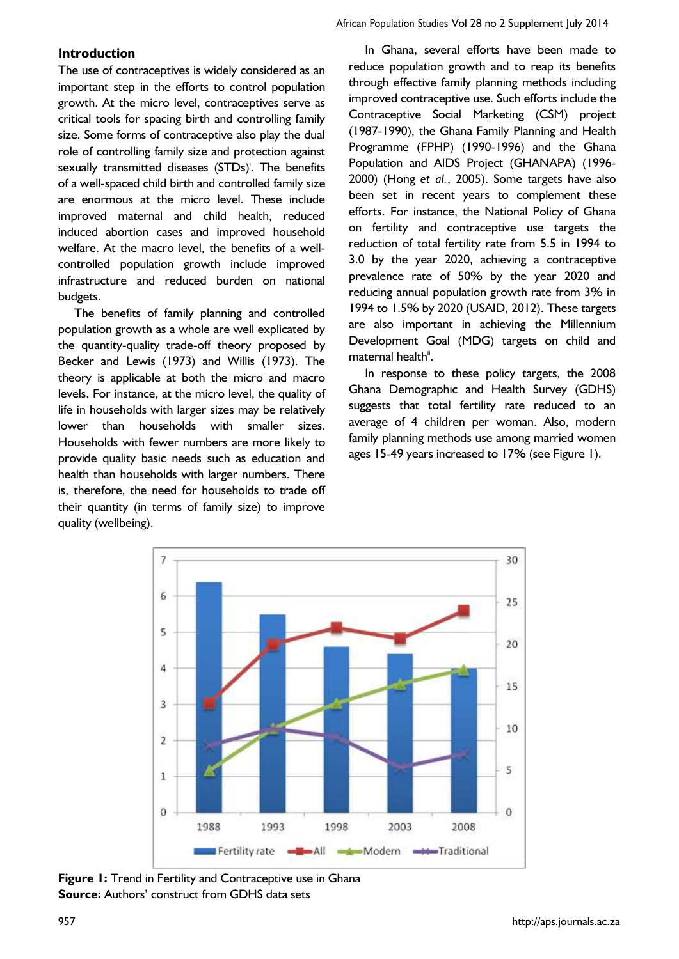## **Introduction**

The use of contraceptives is widely considered as an important step in the efforts to control population growth. At the micro level, contraceptives serve as critical tools for spacing birth and controlling family size. Some forms of contraceptive also play the dual role of controlling family size and protection against sexually transmitted diseases (STDs)<sup>'</sup>. The benefits of a well-spaced child birth and controlled family size are enormous at the micro level. These include improved maternal and child health, reduced induced abortion cases and improved household welfare. At the macro level, the benefits of a wellcontrolled population growth include improved infrastructure and reduced burden on national budgets.

The benefits of family planning and controlled population growth as a whole are well explicated by the quantity-quality trade-off theory proposed by Becker and Lewis (1973) and Willis (1973). The theory is applicable at both the micro and macro levels. For instance, at the micro level, the quality of life in households with larger sizes may be relatively lower than households with smaller sizes. Households with fewer numbers are more likely to provide quality basic needs such as education and health than households with larger numbers. There is, therefore, the need for households to trade off their quantity (in terms of family size) to improve quality (wellbeing).

In Ghana, several efforts have been made to reduce population growth and to reap its benefits through effective family planning methods including improved contraceptive use. Such efforts include the Contraceptive Social Marketing (CSM) project (1987-1990), the Ghana Family Planning and Health Programme (FPHP) (1990-1996) and the Ghana Population and AIDS Project (GHANAPA) (1996- 2000) (Hong *et al.*, 2005). Some targets have also been set in recent years to complement these efforts. For instance, the National Policy of Ghana on fertility and contraceptive use targets the reduction of total fertility rate from 5.5 in 1994 to 3.0 by the year 2020, achieving a contraceptive prevalence rate of 50% by the year 2020 and reducing annual population growth rate from 3% in 1994 to 1.5% by 2020 (USAID, 2012). These targets are also important in achieving the Millennium Development Goal (MDG) targets on child and maternal health".

African Population Studies Vol 28 no 2 Supplement July 2014

In response to these policy targets, the 2008 Ghana Demographic and Health Survey (GDHS) suggests that total fertility rate reduced to an average of 4 children per woman. Also, modern family planning methods use among married women ages 15-49 years increased to 17% (see Figure 1).



**Figure 1:** Trend in Fertility and Contraceptive use in Ghana **Source:** Authors' construct from GDHS data sets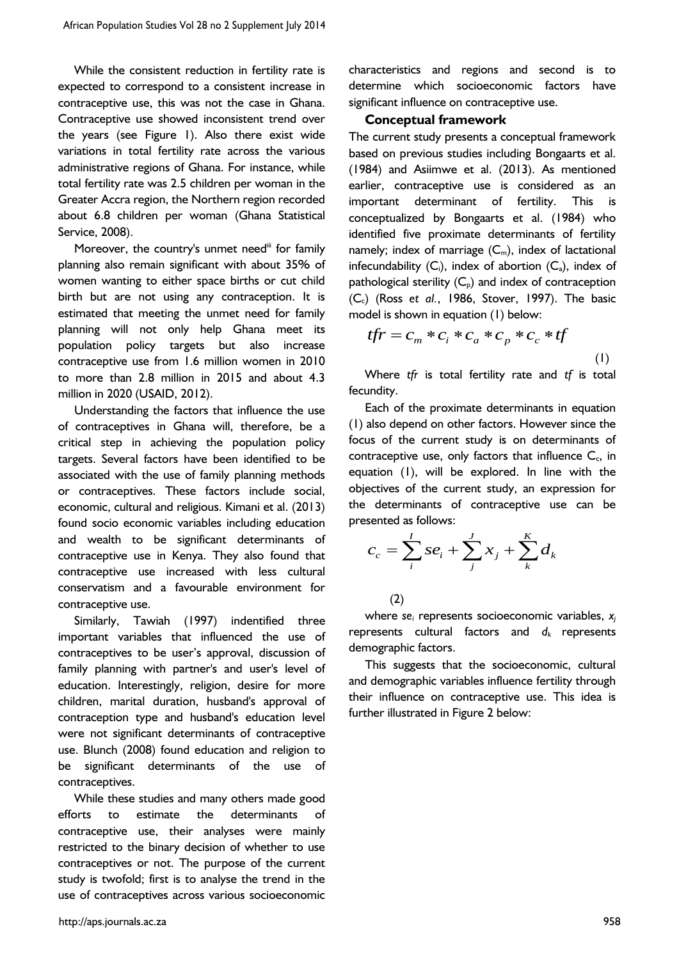While the consistent reduction in fertility rate is expected to correspond to a consistent increase in contraceptive use, this was not the case in Ghana. Contraceptive use showed inconsistent trend over the years (see Figure 1). Also there exist wide variations in total fertility rate across the various administrative regions of Ghana. For instance, while total fertility rate was 2.5 children per woman in the Greater Accra region, the Northern region recorded about 6.8 children per woman (Ghana Statistical Service, 2008).

Moreover, the country's unmet need<sup>"</sup> for family planning also remain significant with about 35% of women wanting to either space births or cut child birth but are not using any contraception. It is estimated that meeting the unmet need for family planning will not only help Ghana meet its population policy targets but also increase contraceptive use from 1.6 million women in 2010 to more than 2.8 million in 2015 and about 4.3 million in 2020 (USAID, 2012).

Understanding the factors that influence the use of contraceptives in Ghana will, therefore, be a critical step in achieving the population policy targets. Several factors have been identified to be associated with the use of family planning methods or contraceptives. These factors include social, economic, cultural and religious. Kimani et al. (2013) found socio economic variables including education and wealth to be significant determinants of contraceptive use in Kenya. They also found that contraceptive use increased with less cultural conservatism and a favourable environment for contraceptive use.

Similarly, Tawiah (1997) indentified three important variables that influenced the use of contraceptives to be user's approval, discussion of family planning with partner's and user's level of education. Interestingly, religion, desire for more children, marital duration, husband's approval of contraception type and husband's education level were not significant determinants of contraceptive use. Blunch (2008) found education and religion to be significant determinants of the use of contraceptives.

While these studies and many others made good efforts to estimate the determinants of contraceptive use, their analyses were mainly restricted to the binary decision of whether to use contraceptives or not. The purpose of the current study is twofold; first is to analyse the trend in the use of contraceptives across various socioeconomic

characteristics and regions and second is to determine which socioeconomic factors have significant influence on contraceptive use.

#### **Conceptual framework**

The current study presents a conceptual framework based on previous studies including Bongaarts et al. (1984) and Asiimwe et al. (2013). As mentioned earlier, contraceptive use is considered as an important determinant of fertility. This is conceptualized by Bongaarts et al. (1984) who identified five proximate determinants of fertility namely; index of marriage  $(C_m)$ , index of lactational infecundability  $(C_i)$ , index of abortion  $(C_a)$ , index of pathological sterility  $(C_p)$  and index of contraception (Cc) (Ross *et al.*, 1986, Stover, 1997). The basic

model is shown in equation (1) below:  
\n
$$
tfr = C_m * C_i * C_a * C_p * C_c * tf
$$
\n(1)

Where *tfr* is total fertility rate and *tf* is total fecundity.

Each of the proximate determinants in equation (1) also depend on other factors. However since the focus of the current study is on determinants of contraceptive use, only factors that influence  $C_c$ , in equation (1), will be explored. In line with the objectives of the current study, an expression for the determinants of contraceptive use can be presented as follows:

sented as follows:  

$$
c_c = \sum_{i}^{I} s e_i + \sum_{j}^{I} x_j + \sum_{k}^{K} d_k
$$

(2)

where *se<sup>i</sup>* represents socioeconomic variables, *x<sup>j</sup>* represents cultural factors and *d<sup>k</sup>* represents demographic factors.

This suggests that the socioeconomic, cultural and demographic variables influence fertility through their influence on contraceptive use. This idea is further illustrated in Figure 2 below: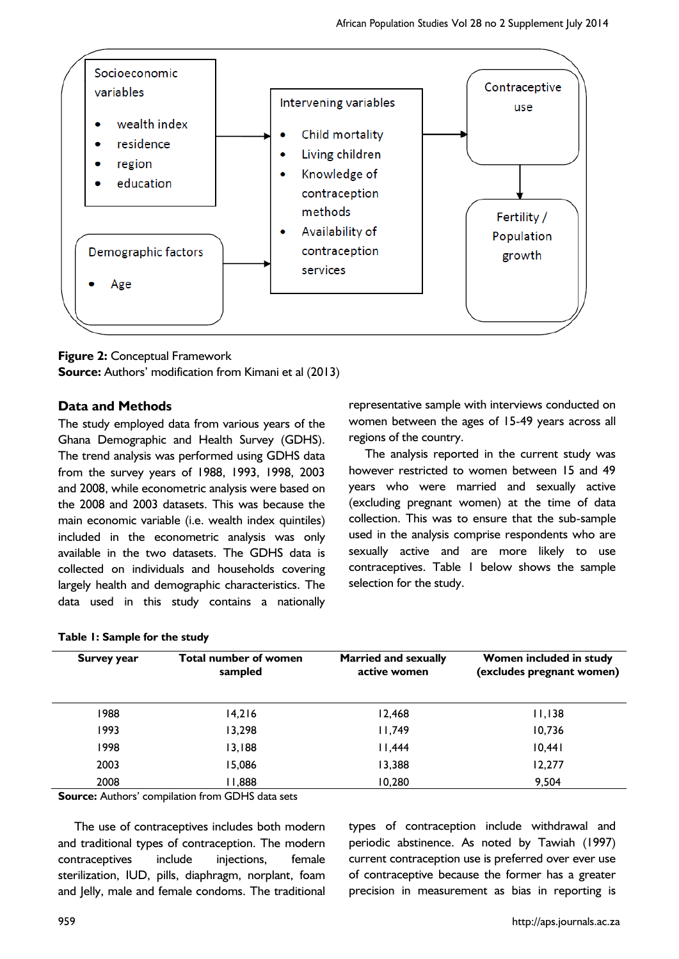

## **Figure 2:** Conceptual Framework

**Source:** Authors' modification from Kimani et al (2013)

## **Data and Methods**

The study employed data from various years of the Ghana Demographic and Health Survey (GDHS). The trend analysis was performed using GDHS data from the survey years of 1988, 1993, 1998, 2003 and 2008, while econometric analysis were based on the 2008 and 2003 datasets. This was because the main economic variable (i.e. wealth index quintiles) included in the econometric analysis was only available in the two datasets. The GDHS data is collected on individuals and households covering largely health and demographic characteristics. The data used in this study contains a nationally

## representative sample with interviews conducted on women between the ages of 15-49 years across all regions of the country.

The analysis reported in the current study was however restricted to women between 15 and 49 years who were married and sexually active (excluding pregnant women) at the time of data collection. This was to ensure that the sub-sample used in the analysis comprise respondents who are sexually active and are more likely to use contraceptives. Table 1 below shows the sample selection for the study.

#### **Table 1: Sample for the study**

| Total number of women<br>sampled | <b>Married and sexually</b><br>active women | Women included in study<br>(excludes pregnant women) |
|----------------------------------|---------------------------------------------|------------------------------------------------------|
| 14,216                           | 12,468                                      | 11,138                                               |
| 13,298                           | 11,749                                      | 10.736                                               |
| 13,188                           | 11,444                                      | 10,441                                               |
| 15,086                           | 13,388                                      | 12,277                                               |
| 888,11                           | 10,280                                      | 9,504                                                |
|                                  |                                             |                                                      |

**Source:** Authors' compilation from GDHS data sets

The use of contraceptives includes both modern and traditional types of contraception. The modern contraceptives include injections, female sterilization, IUD, pills, diaphragm, norplant, foam and Jelly, male and female condoms. The traditional

types of contraception include withdrawal and periodic abstinence. As noted by Tawiah (1997) current contraception use is preferred over ever use of contraceptive because the former has a greater precision in measurement as bias in reporting is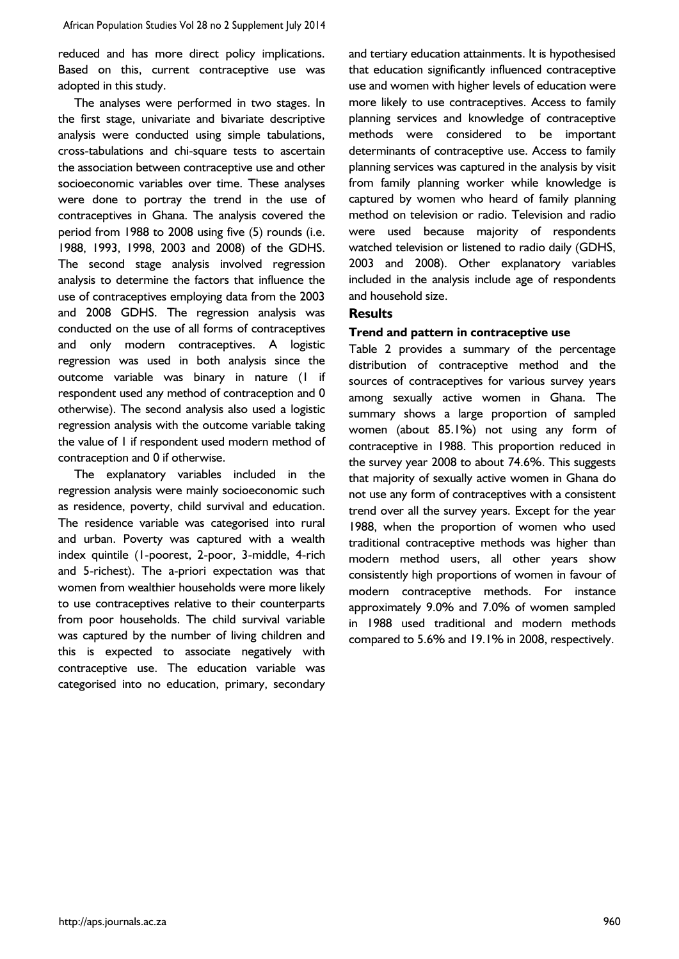reduced and has more direct policy implications. Based on this, current contraceptive use was adopted in this study.

The analyses were performed in two stages. In the first stage, univariate and bivariate descriptive analysis were conducted using simple tabulations, cross-tabulations and chi-square tests to ascertain the association between contraceptive use and other socioeconomic variables over time. These analyses were done to portray the trend in the use of contraceptives in Ghana. The analysis covered the period from 1988 to 2008 using five (5) rounds (i.e. 1988, 1993, 1998, 2003 and 2008) of the GDHS. The second stage analysis involved regression analysis to determine the factors that influence the use of contraceptives employing data from the 2003 and 2008 GDHS. The regression analysis was conducted on the use of all forms of contraceptives and only modern contraceptives. A logistic regression was used in both analysis since the outcome variable was binary in nature (1 if respondent used any method of contraception and 0 otherwise). The second analysis also used a logistic regression analysis with the outcome variable taking the value of 1 if respondent used modern method of contraception and 0 if otherwise.

The explanatory variables included in the regression analysis were mainly socioeconomic such as residence, poverty, child survival and education. The residence variable was categorised into rural and urban. Poverty was captured with a wealth index quintile (1-poorest, 2-poor, 3-middle, 4-rich and 5-richest). The a-priori expectation was that women from wealthier households were more likely to use contraceptives relative to their counterparts from poor households. The child survival variable was captured by the number of living children and this is expected to associate negatively with contraceptive use. The education variable was categorised into no education, primary, secondary

and tertiary education attainments. It is hypothesised that education significantly influenced contraceptive use and women with higher levels of education were more likely to use contraceptives. Access to family planning services and knowledge of contraceptive methods were considered to be important determinants of contraceptive use. Access to family planning services was captured in the analysis by visit from family planning worker while knowledge is captured by women who heard of family planning method on television or radio. Television and radio were used because majority of respondents watched television or listened to radio daily (GDHS, 2003 and 2008). Other explanatory variables included in the analysis include age of respondents and household size.

#### **Results**

#### **Trend and pattern in contraceptive use**

Table 2 provides a summary of the percentage distribution of contraceptive method and the sources of contraceptives for various survey years among sexually active women in Ghana. The summary shows a large proportion of sampled women (about 85.1%) not using any form of contraceptive in 1988. This proportion reduced in the survey year 2008 to about 74.6%. This suggests that majority of sexually active women in Ghana do not use any form of contraceptives with a consistent trend over all the survey years. Except for the year 1988, when the proportion of women who used traditional contraceptive methods was higher than modern method users, all other years show consistently high proportions of women in favour of modern contraceptive methods. For instance approximately 9.0% and 7.0% of women sampled in 1988 used traditional and modern methods compared to 5.6% and 19.1% in 2008, respectively.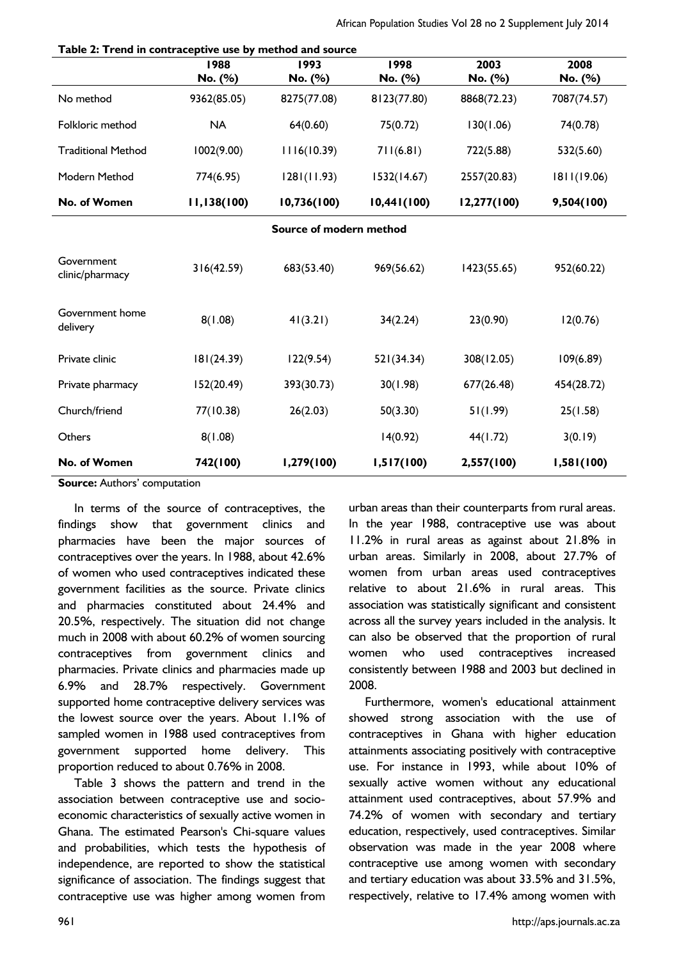|                               | 1988<br>No. (%) | 1993<br>No. (%)         | 1998<br>No. (%) | 2003<br>No. (%) | 2008<br>No. (%) |
|-------------------------------|-----------------|-------------------------|-----------------|-----------------|-----------------|
| No method                     | 9362(85.05)     | 8275(77.08)             | 8123(77.80)     | 8868(72.23)     | 7087(74.57)     |
| Folkloric method              | <b>NA</b>       | 64(0.60)                | 75(0.72)        | 130(1.06)       | 74(0.78)        |
| <b>Traditional Method</b>     | 1002(9.00)      | 1116(10.39)             | 711(6.81)       | 722(5.88)       | 532(5.60)       |
| Modern Method                 | 774(6.95)       | 1281(11.93)             | 1532(14.67)     | 2557(20.83)     | 1811(19.06)     |
| No. of Women                  | 11,138(100)     | 10,736(100)             | 10,441(100)     | 12,277(100)     | 9,504(100)      |
|                               |                 | Source of modern method |                 |                 |                 |
| Government<br>clinic/pharmacy | 316(42.59)      | 683(53.40)              | 969(56.62)      | 1423(55.65)     | 952(60.22)      |
| Government home<br>delivery   | 8(1.08)         | 41(3.21)                | 34(2.24)        | 23(0.90)        | 12(0.76)        |
| Private clinic                | 181(24.39)      | 122(9.54)               | 521(34.34)      | 308(12.05)      | 109(6.89)       |
| Private pharmacy              | 152(20.49)      | 393(30.73)              | 30(1.98)        | 677(26.48)      | 454(28.72)      |
| Church/friend                 | 77(10.38)       | 26(2.03)                | 50(3.30)        | 51(1.99)        | 25(1.58)        |
| Others                        | 8(1.08)         |                         | 14(0.92)        | 44(1.72)        | 3(0.19)         |
| No. of Women                  | 742(100)        | 1,279(100)              | 1,517(100)      | 2,557(100)      | 1,581(100)      |

**Table 2: Trend in contraceptive use by method and source**

**Source:** Authors' computation

In terms of the source of contraceptives, the findings show that government clinics and pharmacies have been the major sources of contraceptives over the years. In 1988, about 42.6% of women who used contraceptives indicated these government facilities as the source. Private clinics and pharmacies constituted about 24.4% and 20.5%, respectively. The situation did not change much in 2008 with about 60.2% of women sourcing contraceptives from government clinics and pharmacies. Private clinics and pharmacies made up 6.9% and 28.7% respectively. Government supported home contraceptive delivery services was the lowest source over the years. About 1.1% of sampled women in 1988 used contraceptives from government supported home delivery. This proportion reduced to about 0.76% in 2008.

Table 3 shows the pattern and trend in the association between contraceptive use and socioeconomic characteristics of sexually active women in Ghana. The estimated Pearson's Chi-square values and probabilities, which tests the hypothesis of independence, are reported to show the statistical significance of association. The findings suggest that contraceptive use was higher among women from

urban areas than their counterparts from rural areas. In the year 1988, contraceptive use was about 11.2% in rural areas as against about 21.8% in urban areas. Similarly in 2008, about 27.7% of women from urban areas used contraceptives relative to about 21.6% in rural areas. This association was statistically significant and consistent across all the survey years included in the analysis. It can also be observed that the proportion of rural women who used contraceptives increased consistently between 1988 and 2003 but declined in 2008.

Furthermore, women's educational attainment showed strong association with the use of contraceptives in Ghana with higher education attainments associating positively with contraceptive use. For instance in 1993, while about 10% of sexually active women without any educational attainment used contraceptives, about 57.9% and 74.2% of women with secondary and tertiary education, respectively, used contraceptives. Similar observation was made in the year 2008 where contraceptive use among women with secondary and tertiary education was about 33.5% and 31.5%, respectively, relative to 17.4% among women with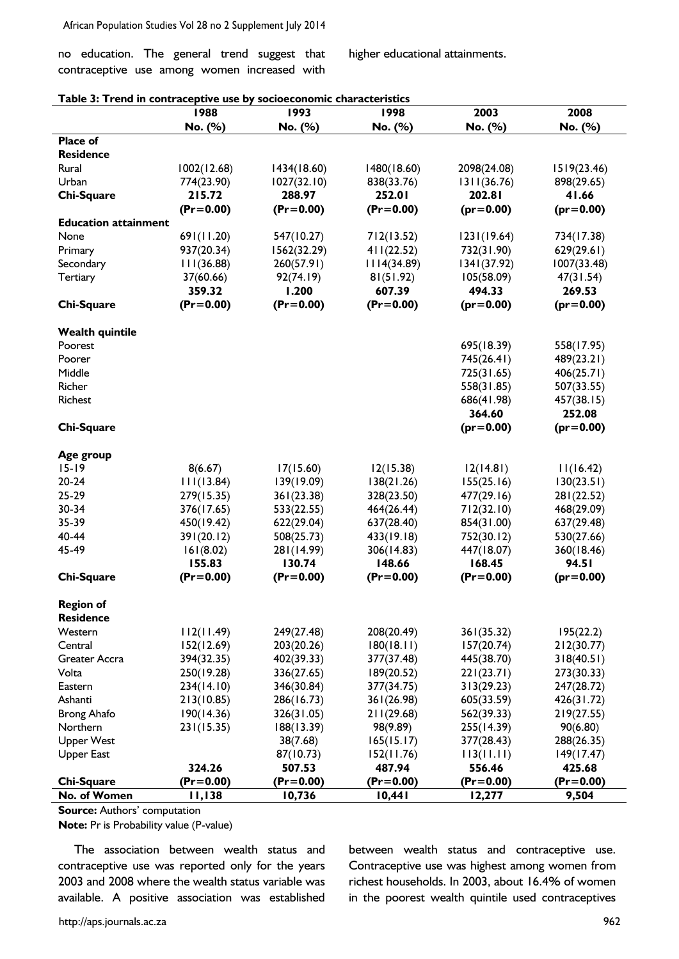no education. The general trend suggest that contraceptive use among women increased with higher educational attainments.

|  | Table 3: Trend in contraceptive use by socioeconomic characteristics |  |  |  |
|--|----------------------------------------------------------------------|--|--|--|
|  |                                                                      |  |  |  |

|                             | 1988          | 1993          | 1998          | 2003          | 2008          |
|-----------------------------|---------------|---------------|---------------|---------------|---------------|
|                             | No. (%)       | No. (%)       | No. (%)       | No. (%)       | No. (%)       |
| Place of                    |               |               |               |               |               |
| <b>Residence</b>            |               |               |               |               |               |
| Rural                       | 1002(12.68)   | 1434(18.60)   | 1480(18.60)   | 2098(24.08)   | 1519(23.46)   |
| Urban                       | 774(23.90)    | 1027(32.10)   | 838(33.76)    | 1311(36.76)   | 898(29.65)    |
| <b>Chi-Square</b>           | 215.72        | 288.97        | 252.01        | 202.81        | 41.66         |
|                             | $(Pr = 0.00)$ | $(Pr = 0.00)$ | $(Pr = 0.00)$ | $(pr=0.00)$   | $(pr=0.00)$   |
| <b>Education attainment</b> |               |               |               |               |               |
| None                        | 691(11.20)    | 547(10.27)    | 712(13.52)    | 1231(19.64)   | 734(17.38)    |
| Primary                     | 937(20.34)    | 1562(32.29)   | 411(22.52)    | 732(31.90)    | 629(29.61)    |
| Secondary                   | 111(36.88)    | 260(57.91)    | 1114(34.89)   | 1341(37.92)   | 1007(33.48)   |
| Tertiary                    | 37(60.66)     | 92(74.19)     | 81(51.92)     | 105(58.09)    | 47(31.54)     |
|                             | 359.32        | 1.200         | 607.39        | 494.33        | 269.53        |
| <b>Chi-Square</b>           | $(Pr = 0.00)$ | $(Pr = 0.00)$ | $(Pr = 0.00)$ | $(pr=0.00)$   | $(pr=0.00)$   |
| <b>Wealth quintile</b>      |               |               |               |               |               |
| Poorest                     |               |               |               | 695(18.39)    | 558(17.95)    |
| Poorer                      |               |               |               | 745(26.41)    | 489(23.21)    |
| Middle                      |               |               |               | 725(31.65)    | 406(25.71)    |
| Richer                      |               |               |               | 558(31.85)    | 507(33.55)    |
| Richest                     |               |               |               | 686(41.98)    | 457(38.15)    |
|                             |               |               |               | 364.60        | 252.08        |
| <b>Chi-Square</b>           |               |               |               | $(pr=0.00)$   | $(pr=0.00)$   |
| Age group                   |               |               |               |               |               |
| $15 - 19$                   | 8(6.67)       | 17(15.60)     | 12(15.38)     | 12(14.81)     | 11(16.42)     |
| $20 - 24$                   | 111(13.84)    | 139(19.09)    | 138(21.26)    | 155(25.16)    | 130(23.51)    |
| 25-29                       | 279(15.35)    | 361(23.38)    | 328(23.50)    | 477(29.16)    | 281(22.52)    |
| 30-34                       | 376(17.65)    | 533(22.55)    | 464(26.44)    | 712(32.10)    | 468(29.09)    |
| 35-39                       | 450(19.42)    | 622(29.04)    | 637(28.40)    | 854(31.00)    | 637(29.48)    |
| 40-44                       | 391(20.12)    | 508(25.73)    | 433(19.18)    | 752(30.12)    | 530(27.66)    |
| 45-49                       | 161(8.02)     | 281(14.99)    | 306(14.83)    | 447(18.07)    | 360(18.46)    |
|                             | 155.83        | 130.74        | 148.66        | 168.45        | 94.51         |
| <b>Chi-Square</b>           | $(Pr = 0.00)$ | $(Pr = 0.00)$ | $(Pr = 0.00)$ | $(Pr = 0.00)$ | $(pr=0.00)$   |
| <b>Region of</b>            |               |               |               |               |               |
| <b>Residence</b>            |               |               |               |               |               |
| Western                     | 112(11.49)    | 249(27.48)    | 208(20.49)    | 361(35.32)    | 195(22.2)     |
| Central                     | 152(12.69)    | 203(20.26)    | 180(18.11)    | 157(20.74)    | 212(30.77)    |
| Greater Accra               | 394(32.35)    | 402(39.33)    | 377(37.48)    | 445(38.70)    | 318(40.51)    |
| Volta                       | 250(19.28)    | 336(27.65)    | 189(20.52)    | 221(23.71)    | 273(30.33)    |
| Eastern                     | 234(14.10)    | 346(30.84)    | 377(34.75)    | 313(29.23)    | 247(28.72)    |
| Ashanti                     | 213(10.85)    | 286(16.73)    | 361(26.98)    | 605(33.59)    | 426(31.72)    |
| <b>Brong Ahafo</b>          | 190(14.36)    | 326(31.05)    | 211(29.68)    | 562(39.33)    | 219(27.55)    |
| Northern                    | 231(15.35)    | 188(13.39)    | 98(9.89)      | 255(14.39)    | 90(6.80)      |
| <b>Upper West</b>           |               | 38(7.68)      | 165(15.17)    | 377(28.43)    | 288(26.35)    |
| <b>Upper East</b>           |               | 87(10.73)     | 152(11.76)    | 113(11.11)    | 149(17.47)    |
|                             | 324.26        | 507.53        | 487.94        | 556.46        | 425.68        |
| <b>Chi-Square</b>           | $(Pr = 0.00)$ | $(Pr = 0.00)$ | $(Pr = 0.00)$ | $(Pr = 0.00)$ | $(Pr = 0.00)$ |
| No. of Women                | 11,138        | 10,736        | 10,441        | 12,277        | 9,504         |

**Source:** Authors' computation

**Note:** Pr is Probability value (P-value)

The association between wealth status and contraceptive use was reported only for the years 2003 and 2008 where the wealth status variable was available. A positive association was established

between wealth status and contraceptive use. Contraceptive use was highest among women from richest households. In 2003, about 16.4% of women in the poorest wealth quintile used contraceptives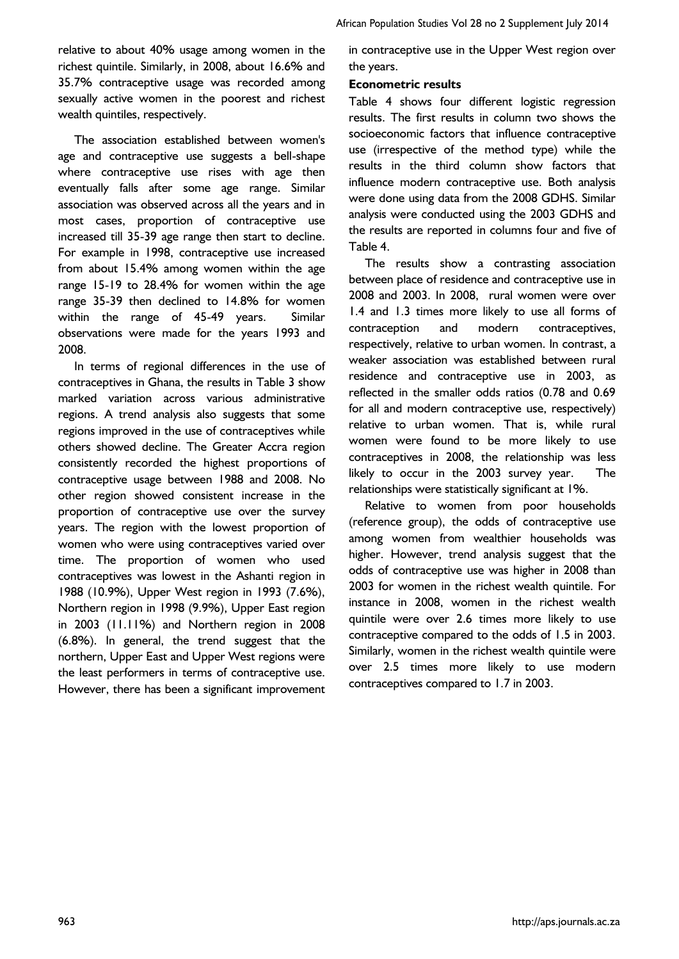relative to about 40% usage among women in the richest quintile. Similarly, in 2008, about 16.6% and 35.7% contraceptive usage was recorded among sexually active women in the poorest and richest wealth quintiles, respectively.

The association established between women's age and contraceptive use suggests a bell-shape where contraceptive use rises with age then eventually falls after some age range. Similar association was observed across all the years and in most cases, proportion of contraceptive use increased till 35-39 age range then start to decline. For example in 1998, contraceptive use increased from about 15.4% among women within the age range 15-19 to 28.4% for women within the age range 35-39 then declined to 14.8% for women within the range of 45-49 years. Similar observations were made for the years 1993 and 2008.

In terms of regional differences in the use of contraceptives in Ghana, the results in Table 3 show marked variation across various administrative regions. A trend analysis also suggests that some regions improved in the use of contraceptives while others showed decline. The Greater Accra region consistently recorded the highest proportions of contraceptive usage between 1988 and 2008. No other region showed consistent increase in the proportion of contraceptive use over the survey years. The region with the lowest proportion of women who were using contraceptives varied over time. The proportion of women who used contraceptives was lowest in the Ashanti region in 1988 (10.9%), Upper West region in 1993 (7.6%), Northern region in 1998 (9.9%), Upper East region in 2003 (11.11%) and Northern region in 2008 (6.8%). In general, the trend suggest that the northern, Upper East and Upper West regions were the least performers in terms of contraceptive use. However, there has been a significant improvement

in contraceptive use in the Upper West region over the years.

## **Econometric results**

Table 4 shows four different logistic regression results. The first results in column two shows the socioeconomic factors that influence contraceptive use (irrespective of the method type) while the results in the third column show factors that influence modern contraceptive use. Both analysis were done using data from the 2008 GDHS. Similar analysis were conducted using the 2003 GDHS and the results are reported in columns four and five of Table 4.

The results show a contrasting association between place of residence and contraceptive use in 2008 and 2003. In 2008, rural women were over 1.4 and 1.3 times more likely to use all forms of contraception and modern contraceptives, respectively, relative to urban women. In contrast, a weaker association was established between rural residence and contraceptive use in 2003, as reflected in the smaller odds ratios (0.78 and 0.69 for all and modern contraceptive use, respectively) relative to urban women. That is, while rural women were found to be more likely to use contraceptives in 2008, the relationship was less likely to occur in the 2003 survey year. The relationships were statistically significant at 1%.

Relative to women from poor households (reference group), the odds of contraceptive use among women from wealthier households was higher. However, trend analysis suggest that the odds of contraceptive use was higher in 2008 than 2003 for women in the richest wealth quintile. For instance in 2008, women in the richest wealth quintile were over 2.6 times more likely to use contraceptive compared to the odds of 1.5 in 2003. Similarly, women in the richest wealth quintile were over 2.5 times more likely to use modern contraceptives compared to 1.7 in 2003.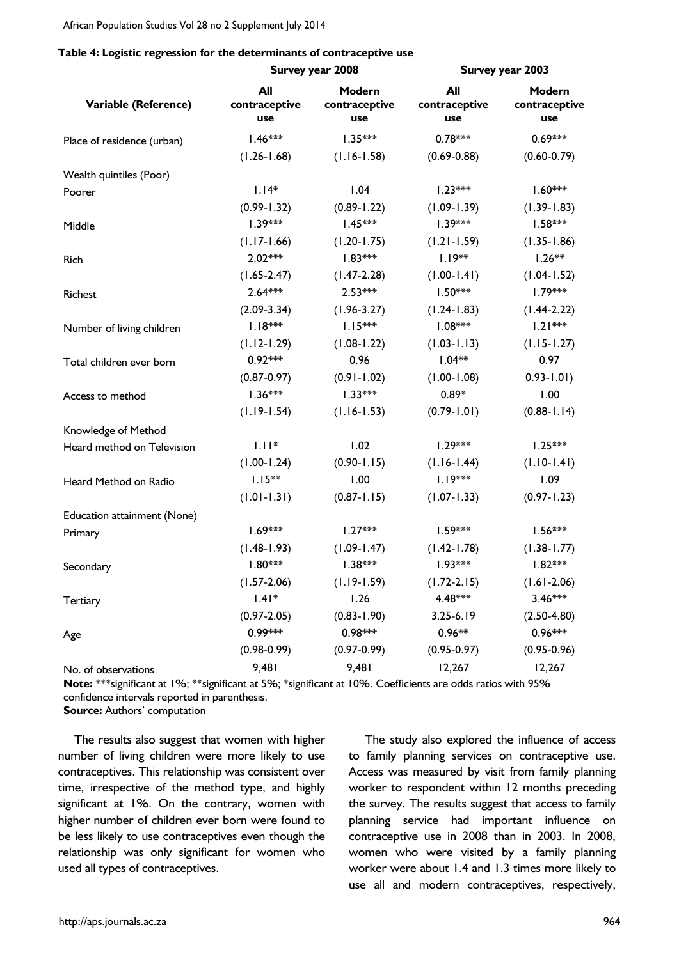African Population Studies Vol 28 no 2 Supplement July 2014

| Table 4: Logistic regression for the determinants of contraceptive use |  |  |  |
|------------------------------------------------------------------------|--|--|--|
|                                                                        |  |  |  |

|                             |                             | Survey year 2008               | Survey year 2003            |                                |  |
|-----------------------------|-----------------------------|--------------------------------|-----------------------------|--------------------------------|--|
| Variable (Reference)        | All<br>contraceptive<br>use | Modern<br>contraceptive<br>use | All<br>contraceptive<br>use | Modern<br>contraceptive<br>use |  |
| Place of residence (urban)  | $1.46***$                   | $1.35***$                      | $0.78***$                   | $0.69***$                      |  |
|                             | $(1.26 - 1.68)$             | $(1.16 - 1.58)$                | $(0.69 - 0.88)$             | $(0.60 - 0.79)$                |  |
| Wealth quintiles (Poor)     |                             |                                |                             |                                |  |
| Poorer                      | $1.14*$                     | 1.04                           | $1.23***$                   | $1.60***$                      |  |
|                             | $(0.99 - 1.32)$             | $(0.89 - 1.22)$                | $(1.09 - 1.39)$             | $(1.39 - 1.83)$                |  |
| Middle                      | $1.39***$                   | $1.45***$                      | $1.39***$                   | $1.58***$                      |  |
|                             | $(1.17 - 1.66)$             | $(1.20 - 1.75)$                | $(1.21 - 1.59)$             | $(1.35 - 1.86)$                |  |
| Rich                        | $2.02***$                   | $1.83***$                      | $1.19***$                   | $1.26**$                       |  |
|                             | $(1.65 - 2.47)$             | $(1.47 - 2.28)$                | $(1.00 - 1.41)$             | $(1.04 - 1.52)$                |  |
| Richest                     | $2.64***$                   | $2.53***$                      | $1.50***$                   | $1.79***$                      |  |
|                             | $(2.09 - 3.34)$             | $(1.96 - 3.27)$                | $(1.24 - 1.83)$             | $(1.44 - 2.22)$                |  |
| Number of living children   | $1.18***$                   | $1.15***$                      | $1.08***$                   | $1.21***$                      |  |
|                             | $(1.12 - 1.29)$             | $(1.08 - 1.22)$                | $(1.03 - 1.13)$             | $(1.15 - 1.27)$                |  |
| Total children ever born    | $0.92***$                   | 0.96                           | $1.04**$                    | 0.97                           |  |
|                             | $(0.87 - 0.97)$             | $(0.91 - 1.02)$                | $(1.00 - 1.08)$             | $0.93 - 1.01$                  |  |
| Access to method            | $1.36***$                   | $1.33***$                      | $0.89*$                     | 1.00                           |  |
|                             | $(1.19 - 1.54)$             | $(1.16 - 1.53)$                | $(0.79 - 1.01)$             | $(0.88 - 1.14)$                |  |
| Knowledge of Method         |                             |                                |                             |                                |  |
| Heard method on Television  | $1.11*$                     | 1.02                           | $1.29***$                   | $1.25***$                      |  |
|                             | $(1.00 - 1.24)$             | $(0.90 - 1.15)$                | $(1.16 - 1.44)$             | $(1.10 - 1.41)$                |  |
| Heard Method on Radio       | $1.15***$                   | 1.00                           | $1.19***$                   | 1.09                           |  |
|                             | $(1.01 - 1.31)$             | $(0.87 - 1.15)$                | $(1.07 - 1.33)$             | $(0.97 - 1.23)$                |  |
| Education attainment (None) |                             |                                |                             |                                |  |
| Primary                     | $1.69***$                   | $1.27***$                      | $1.59***$                   | $1.56***$                      |  |
|                             | $(1.48 - 1.93)$             | $(1.09 - 1.47)$                | $(1.42 - 1.78)$             | $(1.38 - 1.77)$                |  |
| Secondary                   | $1.80***$                   | $1.38***$                      | $1.93***$                   | $1.82***$                      |  |
|                             | $(1.57 - 2.06)$             | $(1.19 - 1.59)$                | $(1.72 - 2.15)$             | $(1.61 - 2.06)$                |  |
| Tertiary                    | $1.41*$                     | 1.26                           | 4.48***                     | $3.46***$                      |  |
|                             | $(0.97 - 2.05)$             | $(0.83 - 1.90)$                | $3.25 - 6.19$               | $(2.50 - 4.80)$                |  |
| Age                         | 0.99***                     | $0.98***$                      | $0.96**$                    | $0.96***$                      |  |
|                             | $(0.98 - 0.99)$             | $(0.97 - 0.99)$                | $(0.95 - 0.97)$             | $(0.95 - 0.96)$                |  |
| No. of observations         | 9,481                       | 9,481                          | 12,267                      | 12,267                         |  |

**Note:** \*\*\*significant at 1%; \*\*significant at 5%; \*significant at 10%. Coefficients are odds ratios with 95% confidence intervals reported in parenthesis.

**Source:** Authors' computation

The results also suggest that women with higher number of living children were more likely to use contraceptives. This relationship was consistent over time, irrespective of the method type, and highly significant at 1%. On the contrary, women with higher number of children ever born were found to be less likely to use contraceptives even though the relationship was only significant for women who used all types of contraceptives.

The study also explored the influence of access to family planning services on contraceptive use. Access was measured by visit from family planning worker to respondent within 12 months preceding the survey. The results suggest that access to family planning service had important influence on contraceptive use in 2008 than in 2003. In 2008, women who were visited by a family planning worker were about 1.4 and 1.3 times more likely to use all and modern contraceptives, respectively,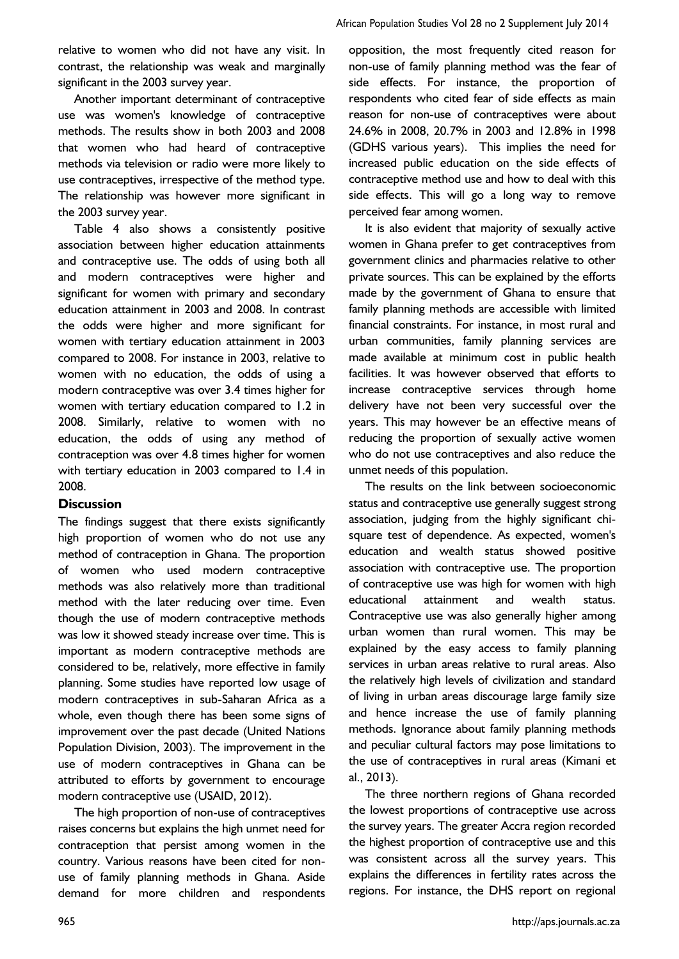relative to women who did not have any visit. In contrast, the relationship was weak and marginally significant in the 2003 survey year.

Another important determinant of contraceptive use was women's knowledge of contraceptive methods. The results show in both 2003 and 2008 that women who had heard of contraceptive methods via television or radio were more likely to use contraceptives, irrespective of the method type. The relationship was however more significant in the 2003 survey year.

Table 4 also shows a consistently positive association between higher education attainments and contraceptive use. The odds of using both all and modern contraceptives were higher and significant for women with primary and secondary education attainment in 2003 and 2008. In contrast the odds were higher and more significant for women with tertiary education attainment in 2003 compared to 2008. For instance in 2003, relative to women with no education, the odds of using a modern contraceptive was over 3.4 times higher for women with tertiary education compared to 1.2 in 2008. Similarly, relative to women with no education, the odds of using any method of contraception was over 4.8 times higher for women with tertiary education in 2003 compared to 1.4 in 2008.

#### **Discussion**

The findings suggest that there exists significantly high proportion of women who do not use any method of contraception in Ghana. The proportion of women who used modern contraceptive methods was also relatively more than traditional method with the later reducing over time. Even though the use of modern contraceptive methods was low it showed steady increase over time. This is important as modern contraceptive methods are considered to be, relatively, more effective in family planning. Some studies have reported low usage of modern contraceptives in sub-Saharan Africa as a whole, even though there has been some signs of improvement over the past decade (United Nations Population Division, 2003). The improvement in the use of modern contraceptives in Ghana can be attributed to efforts by government to encourage modern contraceptive use (USAID, 2012).

The high proportion of non-use of contraceptives raises concerns but explains the high unmet need for contraception that persist among women in the country. Various reasons have been cited for nonuse of family planning methods in Ghana. Aside demand for more children and respondents

opposition, the most frequently cited reason for non-use of family planning method was the fear of side effects. For instance, the proportion of respondents who cited fear of side effects as main reason for non-use of contraceptives were about 24.6% in 2008, 20.7% in 2003 and 12.8% in 1998 (GDHS various years). This implies the need for increased public education on the side effects of contraceptive method use and how to deal with this side effects. This will go a long way to remove perceived fear among women.

It is also evident that majority of sexually active women in Ghana prefer to get contraceptives from government clinics and pharmacies relative to other private sources. This can be explained by the efforts made by the government of Ghana to ensure that family planning methods are accessible with limited financial constraints. For instance, in most rural and urban communities, family planning services are made available at minimum cost in public health facilities. It was however observed that efforts to increase contraceptive services through home delivery have not been very successful over the years. This may however be an effective means of reducing the proportion of sexually active women who do not use contraceptives and also reduce the unmet needs of this population.

The results on the link between socioeconomic status and contraceptive use generally suggest strong association, judging from the highly significant chisquare test of dependence. As expected, women's education and wealth status showed positive association with contraceptive use. The proportion of contraceptive use was high for women with high educational attainment and wealth status. Contraceptive use was also generally higher among urban women than rural women. This may be explained by the easy access to family planning services in urban areas relative to rural areas. Also the relatively high levels of civilization and standard of living in urban areas discourage large family size and hence increase the use of family planning methods. Ignorance about family planning methods and peculiar cultural factors may pose limitations to the use of contraceptives in rural areas (Kimani et al., 2013).

The three northern regions of Ghana recorded the lowest proportions of contraceptive use across the survey years. The greater Accra region recorded the highest proportion of contraceptive use and this was consistent across all the survey years. This explains the differences in fertility rates across the regions. For instance, the DHS report on regional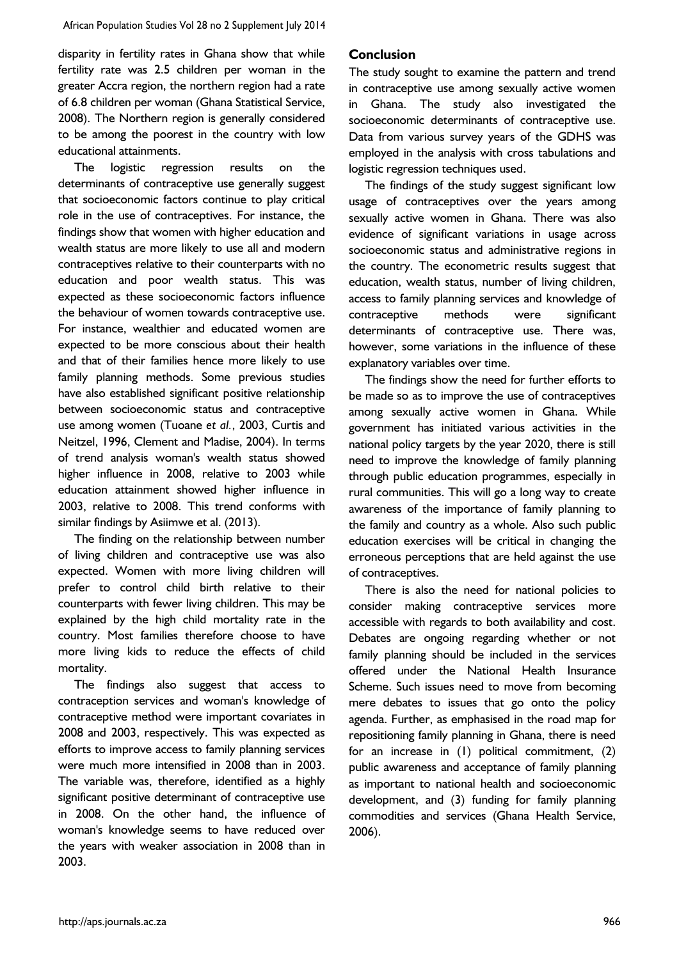disparity in fertility rates in Ghana show that while fertility rate was 2.5 children per woman in the greater Accra region, the northern region had a rate of 6.8 children per woman (Ghana Statistical Service, 2008). The Northern region is generally considered to be among the poorest in the country with low educational attainments.

The logistic regression results on the determinants of contraceptive use generally suggest that socioeconomic factors continue to play critical role in the use of contraceptives. For instance, the findings show that women with higher education and wealth status are more likely to use all and modern contraceptives relative to their counterparts with no education and poor wealth status. This was expected as these socioeconomic factors influence the behaviour of women towards contraceptive use. For instance, wealthier and educated women are expected to be more conscious about their health and that of their families hence more likely to use family planning methods. Some previous studies have also established significant positive relationship between socioeconomic status and contraceptive use among women (Tuoane *et al.*, 2003, Curtis and Neitzel, 1996, Clement and Madise, 2004). In terms of trend analysis woman's wealth status showed higher influence in 2008, relative to 2003 while education attainment showed higher influence in 2003, relative to 2008. This trend conforms with similar findings by Asiimwe et al. (2013).

The finding on the relationship between number of living children and contraceptive use was also expected. Women with more living children will prefer to control child birth relative to their counterparts with fewer living children. This may be explained by the high child mortality rate in the country. Most families therefore choose to have more living kids to reduce the effects of child mortality.

The findings also suggest that access to contraception services and woman's knowledge of contraceptive method were important covariates in 2008 and 2003, respectively. This was expected as efforts to improve access to family planning services were much more intensified in 2008 than in 2003. The variable was, therefore, identified as a highly significant positive determinant of contraceptive use in 2008. On the other hand, the influence of woman's knowledge seems to have reduced over the years with weaker association in 2008 than in 2003.

#### **Conclusion**

The study sought to examine the pattern and trend in contraceptive use among sexually active women in Ghana. The study also investigated the socioeconomic determinants of contraceptive use. Data from various survey years of the GDHS was employed in the analysis with cross tabulations and logistic regression techniques used.

The findings of the study suggest significant low usage of contraceptives over the years among sexually active women in Ghana. There was also evidence of significant variations in usage across socioeconomic status and administrative regions in the country. The econometric results suggest that education, wealth status, number of living children, access to family planning services and knowledge of contraceptive methods were significant determinants of contraceptive use. There was, however, some variations in the influence of these explanatory variables over time.

The findings show the need for further efforts to be made so as to improve the use of contraceptives among sexually active women in Ghana. While government has initiated various activities in the national policy targets by the year 2020, there is still need to improve the knowledge of family planning through public education programmes, especially in rural communities. This will go a long way to create awareness of the importance of family planning to the family and country as a whole. Also such public education exercises will be critical in changing the erroneous perceptions that are held against the use of contraceptives.

There is also the need for national policies to consider making contraceptive services more accessible with regards to both availability and cost. Debates are ongoing regarding whether or not family planning should be included in the services offered under the National Health Insurance Scheme. Such issues need to move from becoming mere debates to issues that go onto the policy agenda. Further, as emphasised in the road map for repositioning family planning in Ghana, there is need for an increase in (1) political commitment, (2) public awareness and acceptance of family planning as important to national health and socioeconomic development, and (3) funding for family planning commodities and services (Ghana Health Service, 2006).